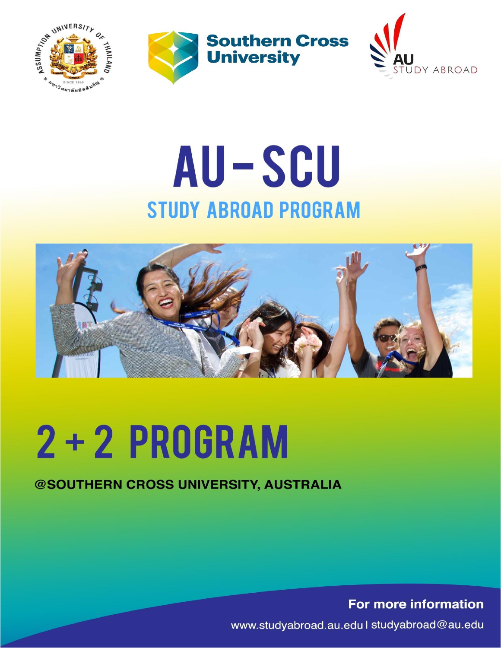





## AU-SCU **STUDY ABROAD PROGRAM**



# 2 + 2 PROGRAM

#### @SOUTHERN CROSS UNIVERSITY, AUSTRALIA

For more information

www.studyabroad.au.edu | studyabroad@au.edu